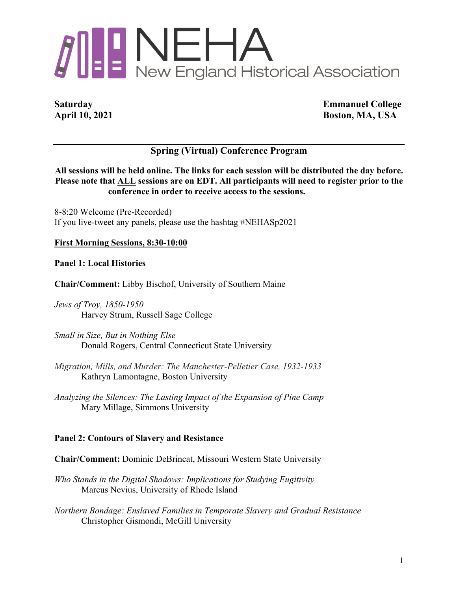# **ALLINEHA**<br>New England Historical Association

**Saturday Emmanuel College April 10, 2021 Boston, MA, USA**

# **Spring (Virtual) Conference Program**

**All sessions will be held online. The links for each session will be distributed the day before. Please note that ALL sessions are on EDT. All participants will need to register prior to the conference in order to receive access to the sessions.**

8-8:20 Welcome (Pre-Recorded) If you live-tweet any panels, please use the hashtag #NEHASp2021

# **First Morning Sessions, 8:30-10:00**

**Panel 1: Local Histories**

**Chair/Comment:** Libby Bischof, University of Southern Maine

*Jews of Troy, 1850-1950* Harvey Strum, Russell Sage College

*Small in Size, But in Nothing Else* Donald Rogers, Central Connecticut State University

- *Migration, Mills, and Murder: The Manchester-Pelletier Case, 1932-1933* Kathryn Lamontagne, Boston University
- *Analyzing the Silences: The Lasting Impact of the Expansion of Pine Camp* Mary Millage, Simmons University

# **Panel 2: Contours of Slavery and Resistance**

**Chair/Comment:** Dominic DeBrincat, Missouri Western State University

*Who Stands in the Digital Shadows: Implications for Studying Fugitivity* Marcus Nevius, University of Rhode Island

*Northern Bondage: Enslaved Families in Temporate Slavery and Gradual Resistance* Christopher Gismondi, McGill University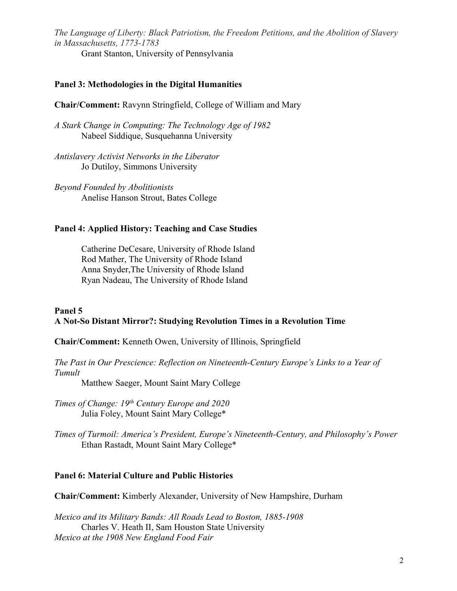*The Language of Liberty: Black Patriotism, the Freedom Petitions, and the Abolition of Slavery in Massachusetts, 1773-1783*

Grant Stanton, University of Pennsylvania

# **Panel 3: Methodologies in the Digital Humanities**

**Chair/Comment:** Ravynn Stringfield, College of William and Mary

*A Stark Change in Computing: The Technology Age of 1982* Nabeel Siddique, Susquehanna University

*Antislavery Activist Networks in the Liberator* Jo Dutiloy, Simmons University

*Beyond Founded by Abolitionists* Anelise Hanson Strout, Bates College

### **Panel 4: Applied History: Teaching and Case Studies**

Catherine DeCesare, University of Rhode Island Rod Mather, The University of Rhode Island Anna Snyder,The University of Rhode Island Ryan Nadeau, The University of Rhode Island

### **Panel 5 A Not-So Distant Mirror?: Studying Revolution Times in a Revolution Time**

**Chair/Comment:** Kenneth Owen, University of Illinois, Springfield

*The Past in Our Prescience: Reflection on Nineteenth-Century Europe's Links to a Year of Tumult*

Matthew Saeger, Mount Saint Mary College

*Times of Change: 19th Century Europe and 2020* Julia Foley, Mount Saint Mary College\*

*Times of Turmoil: America's President, Europe's Nineteenth-Century, and Philosophy's Power* Ethan Rastadt, Mount Saint Mary College\*

# **Panel 6: Material Culture and Public Histories**

**Chair/Comment:** Kimberly Alexander, University of New Hampshire, Durham

*Mexico and its Military Bands: All Roads Lead to Boston, 1885-1908* Charles V. Heath II, Sam Houston State University *Mexico at the 1908 New England Food Fair*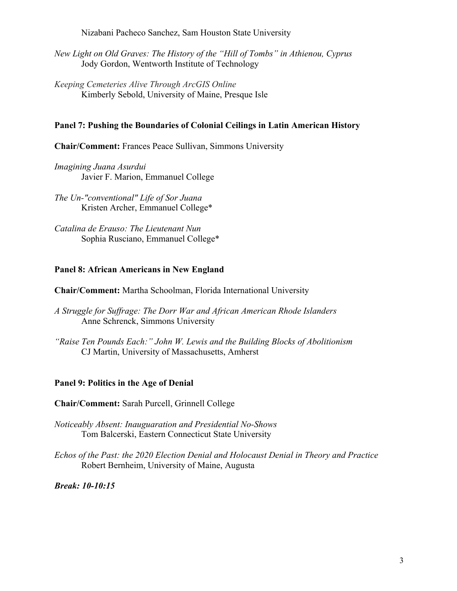Nizabani Pacheco Sanchez, Sam Houston State University

*New Light on Old Graves: The History of the "Hill of Tombs" in Athienou, Cyprus* Jody Gordon, Wentworth Institute of Technology

*Keeping Cemeteries Alive Through ArcGIS Online* Kimberly Sebold, University of Maine, Presque Isle

# **Panel 7: Pushing the Boundaries of Colonial Ceilings in Latin American History**

**Chair/Comment:** Frances Peace Sullivan, Simmons University

*Imagining Juana Asurdui* Javier F. Marion, Emmanuel College

*The Un-"conventional" Life of Sor Juana* Kristen Archer, Emmanuel College\*

*Catalina de Erauso: The Lieutenant Nun* Sophia Rusciano, Emmanuel College\*

### **Panel 8: African Americans in New England**

**Chair/Comment:** Martha Schoolman, Florida International University

- *A Struggle for Suffrage: The Dorr War and African American Rhode Islanders* Anne Schrenck, Simmons University
- *"Raise Ten Pounds Each:" John W. Lewis and the Building Blocks of Abolitionism* CJ Martin, University of Massachusetts, Amherst

# **Panel 9: Politics in the Age of Denial**

**Chair/Comment:** Sarah Purcell, Grinnell College

- *Noticeably Absent: Inauguaration and Presidential No-Shows* Tom Balcerski, Eastern Connecticut State University
- *Echos of the Past: the 2020 Election Denial and Holocaust Denial in Theory and Practice* Robert Bernheim, University of Maine, Augusta

*Break: 10-10:15*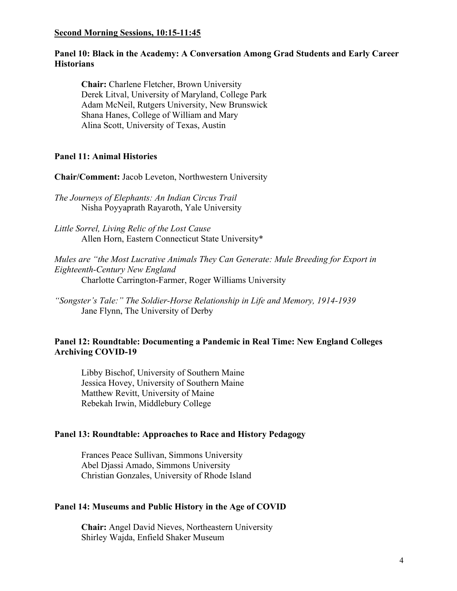### **Second Morning Sessions, 10:15-11:45**

# **Panel 10: Black in the Academy: A Conversation Among Grad Students and Early Career Historians**

**Chair:** Charlene Fletcher, Brown University Derek Litval, University of Maryland, College Park Adam McNeil, Rutgers University, New Brunswick Shana Hanes, College of William and Mary Alina Scott, University of Texas, Austin

# **Panel 11: Animal Histories**

**Chair/Comment:** Jacob Leveton, Northwestern University

*The Journeys of Elephants: An Indian Circus Trail* Nisha Poyyaprath Rayaroth, Yale University

*Little Sorrel, Living Relic of the Lost Cause* Allen Horn, Eastern Connecticut State University\*

*Mules are "the Most Lucrative Animals They Can Generate: Mule Breeding for Export in Eighteenth-Century New England* Charlotte Carrington-Farmer, Roger Williams University

*"Songster's Tale:" The Soldier-Horse Relationship in Life and Memory, 1914-1939* Jane Flynn, The University of Derby

# **Panel 12: Roundtable: Documenting a Pandemic in Real Time: New England Colleges Archiving COVID-19**

Libby Bischof, University of Southern Maine Jessica Hovey, University of Southern Maine Matthew Revitt, University of Maine Rebekah Irwin, Middlebury College

### **Panel 13: Roundtable: Approaches to Race and History Pedagogy**

Frances Peace Sullivan, Simmons University Abel Djassi Amado, Simmons University Christian Gonzales, University of Rhode Island

### **Panel 14: Museums and Public History in the Age of COVID**

**Chair:** Angel David Nieves, Northeastern University Shirley Wajda, Enfield Shaker Museum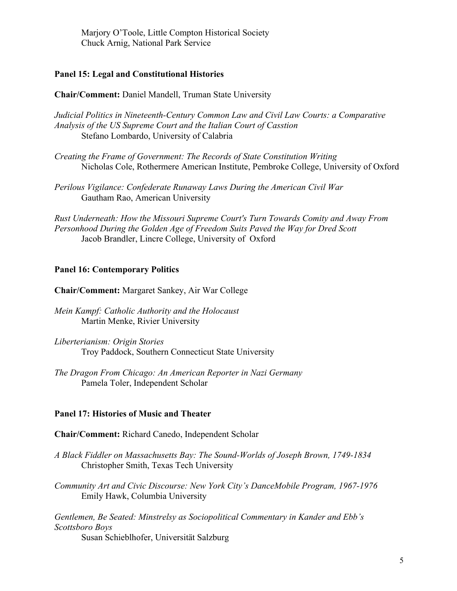Marjory O'Toole, Little Compton Historical Society Chuck Arnig, National Park Service

### **Panel 15: Legal and Constitutional Histories**

**Chair/Comment:** Daniel Mandell, Truman State University

*Judicial Politics in Nineteenth-Century Common Law and Civil Law Courts: a Comparative Analysis of the US Supreme Court and the Italian Court of Casstion* Stefano Lombardo, University of Calabria

*Creating the Frame of Government: The Records of State Constitution Writing* Nicholas Cole, Rothermere American Institute, Pembroke College, University of Oxford

*Perilous Vigilance: Confederate Runaway Laws During the American Civil War* Gautham Rao, American University

*Rust Underneath: How the Missouri Supreme Court's Turn Towards Comity and Away From Personhood During the Golden Age of Freedom Suits Paved the Way for Dred Scott* Jacob Brandler, Lincre College, University of Oxford

### **Panel 16: Contemporary Politics**

**Chair/Comment:** Margaret Sankey, Air War College

- *Mein Kampf: Catholic Authority and the Holocaust* Martin Menke, Rivier University
- *Liberterianism: Origin Stories* Troy Paddock, Southern Connecticut State University
- *The Dragon From Chicago: An American Reporter in Nazi Germany* Pamela Toler, Independent Scholar

### **Panel 17: Histories of Music and Theater**

**Chair/Comment:** Richard Canedo, Independent Scholar

- *A Black Fiddler on Massachusetts Bay: The Sound-Worlds of Joseph Brown, 1749-1834* Christopher Smith, Texas Tech University
- *Community Art and Civic Discourse: New York City's DanceMobile Program, 1967-1976* Emily Hawk, Columbia University

*Gentlemen, Be Seated: Minstrelsy as Sociopolitical Commentary in Kander and Ebb's Scottsboro Boys*

Susan Schieblhofer, Universitӓt Salzburg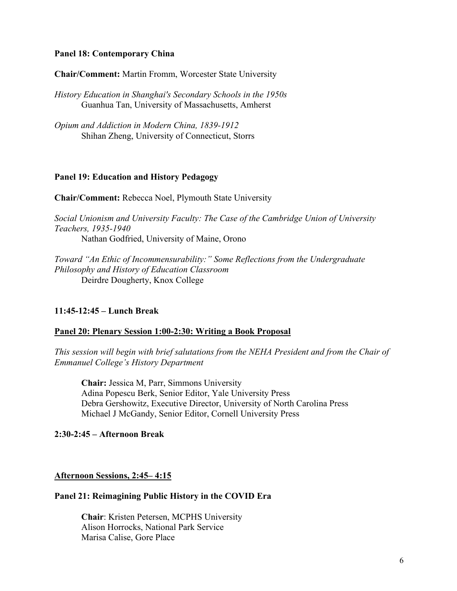### **Panel 18: Contemporary China**

**Chair/Comment:** Martin Fromm, Worcester State University

*History Education in Shanghai's Secondary Schools in the 1950s* Guanhua Tan, University of Massachusetts, Amherst

*Opium and Addiction in Modern China, 1839-1912* Shihan Zheng, University of Connecticut, Storrs

### **Panel 19: Education and History Pedagogy**

**Chair/Comment:** Rebecca Noel, Plymouth State University

*Social Unionism and University Faculty: The Case of the Cambridge Union of University Teachers, 1935-1940* Nathan Godfried, University of Maine, Orono

*Toward "An Ethic of Incommensurability:" Some Reflections from the Undergraduate Philosophy and History of Education Classroom* Deirdre Dougherty, Knox College

# **11:45-12:45 – Lunch Break**

# **Panel 20: Plenary Session 1:00-2:30: Writing a Book Proposal**

*This session will begin with brief salutations from the NEHA President and from the Chair of Emmanuel College's History Department*

**Chair:** Jessica M, Parr, Simmons University Adina Popescu Berk, Senior Editor, Yale University Press Debra Gershowitz, Executive Director, University of North Carolina Press Michael J McGandy, Senior Editor, Cornell University Press

# **2:30-2:45 – Afternoon Break**

# **Afternoon Sessions, 2:45– 4:15**

# **Panel 21: Reimagining Public History in the COVID Era**

**Chair**: Kristen Petersen, MCPHS University Alison Horrocks, National Park Service Marisa Calise, Gore Place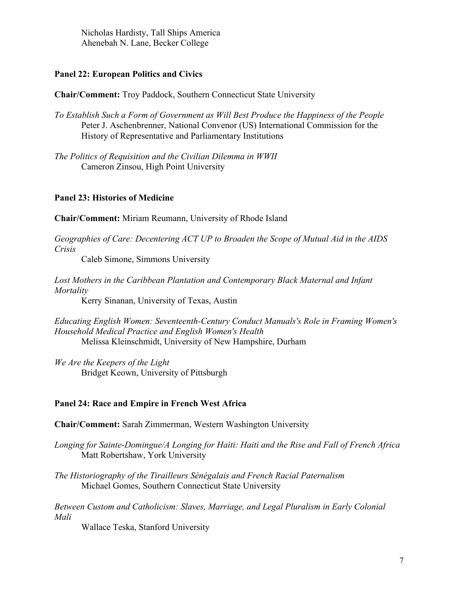Nicholas Hardisty, Tall Ships America Ahenebah N. Lane, Becker College

# **Panel 22: European Politics and Civics**

**Chair/Comment:** Troy Paddock, Southern Connecticut State University

- *To Establish Such a Form of Government as Will Best Produce the Happiness of the People* Peter J. Aschenbrenner, National Convenor (US) International Commission for the History of Representative and Parliamentary Institutions
- *The Politics of Requisition and the Civilian Dilemma in WWII* Cameron Zinsou, High Point University

### **Panel 23: Histories of Medicine**

**Chair/Comment:** Miriam Reumann, University of Rhode Island

*Geographies of Care: Decentering ACT UP to Broaden the Scope of Mutual Aid in the AIDS Crisis*

Caleb Simone, Simmons University

Lost Mothers in the Caribbean Plantation and Contemporary Black Maternal and Infant *Mortality*

Kerry Sinanan, University of Texas, Austin

*Educating English Women: Seventeenth-Century Conduct Manuals's Role in Framing Women's Household Medical Practice and English Women's Health* Melissa Kleinschmidt, University of New Hampshire, Durham

*We Are the Keepers of the Light* Bridget Keown, University of Pittsburgh

# **Panel 24: Race and Empire in French West Africa**

**Chair/Comment:** Sarah Zimmerman, Western Washington University

*Longing for Sainte-Domingue/A Longing for Haiti: Haiti and the Rise and Fall of French Africa* Matt Robertshaw, York University

*The Historiography of the Tirailleurs Sénégalais and French Racial Paternalism* Michael Gomes, Southern Connecticut State University

*Between Custom and Catholicism: Slaves, Marriage, and Legal Pluralism in Early Colonial Mali* 

Wallace Teska, Stanford University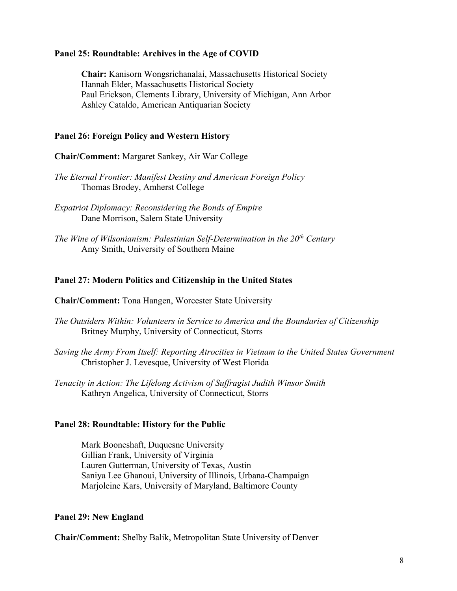# **Panel 25: Roundtable: Archives in the Age of COVID**

**Chair:** Kanisorn Wongsrichanalai, Massachusetts Historical Society Hannah Elder, Massachusetts Historical Society Paul Erickson, Clements Library, University of Michigan, Ann Arbor Ashley Cataldo, American Antiquarian Society

# **Panel 26: Foreign Policy and Western History**

**Chair/Comment:** Margaret Sankey, Air War College

*The Eternal Frontier: Manifest Destiny and American Foreign Policy* Thomas Brodey, Amherst College

*Expatriot Diplomacy: Reconsidering the Bonds of Empire* Dane Morrison, Salem State University

*The Wine of Wilsonianism: Palestinian Self-Determination in the 20th Century* Amy Smith, University of Southern Maine

# **Panel 27: Modern Politics and Citizenship in the United States**

**Chair/Comment:** Tona Hangen, Worcester State University

- *The Outsiders Within: Volunteers in Service to America and the Boundaries of Citizenship* Britney Murphy, University of Connecticut, Storrs
- *Saving the Army From Itself: Reporting Atrocities in Vietnam to the United States Government* Christopher J. Levesque, University of West Florida
- *Tenacity in Action: The Lifelong Activism of Suffragist Judith Winsor Smith* Kathryn Angelica, University of Connecticut, Storrs

# **Panel 28: Roundtable: History for the Public**

Mark Booneshaft, Duquesne University Gillian Frank, University of Virginia Lauren Gutterman, University of Texas, Austin Saniya Lee Ghanoui, University of Illinois, Urbana-Champaign Marjoleine Kars, University of Maryland, Baltimore County

# **Panel 29: New England**

**Chair/Comment:** Shelby Balik, Metropolitan State University of Denver